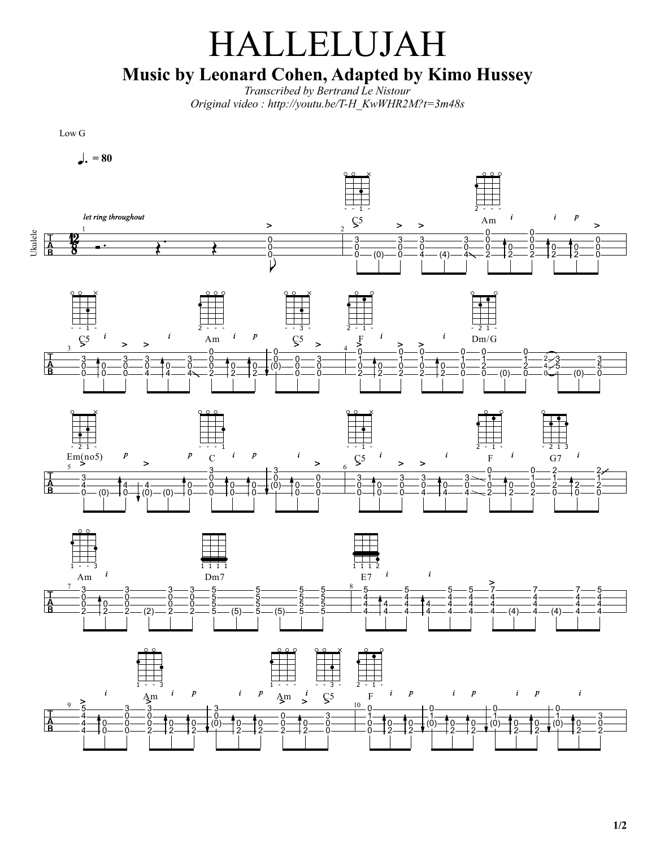## HALLELUJAH Music by Leonard Cohen, Adapted by Kimo Hussey

*Transcribed by Bertrand Le Nistour Original video : http://youtu.be/T-H\_KwWHR2M?t=3m48s*

Low G